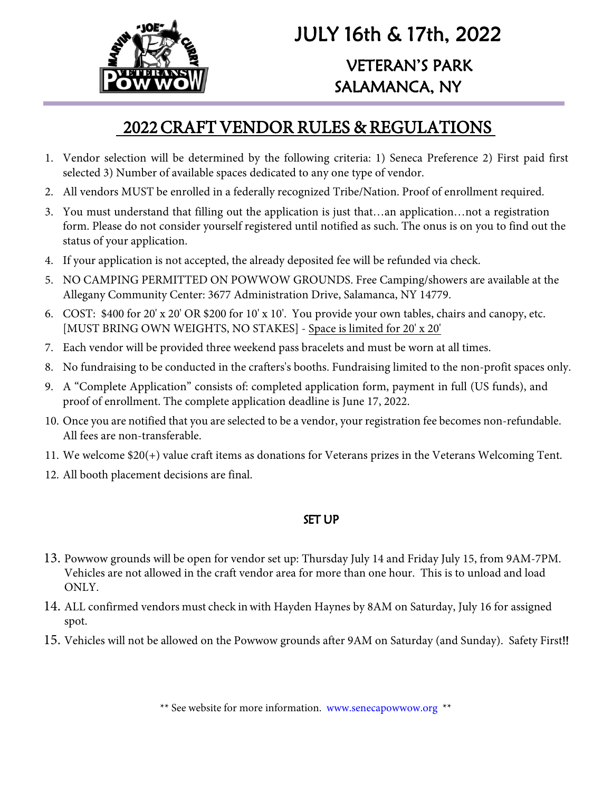

## JULY 16th & 17th, 2022 VETERAN'S PARK SALAMANCA, NY

### 2022 CRAFT VENDOR RULES & REGULATIONS

- 1. Vendor selection will be determined by the following criteria: 1) Seneca Preference 2) First paid first selected 3) Number of available spaces dedicated to any one type of vendor.
- 2. All vendors MUST be enrolled in a federally recognized Tribe/Nation. Proof of enrollment required.
- 3. You must understand that filling out the application is just that…an application…not a registration form. Please do not consider yourself registered until notified as such. The onus is on you to find out the status of your application.
- 4. If your application is not accepted, the already deposited fee will be refunded via check.
- 5. NO CAMPING PERMITTED ON POWWOW GROUNDS. Free Camping/showers are available at the Allegany Community Center: 3677 Administration Drive, Salamanca, NY 14779.
- 6. COST: \$400 for 20' x 20' OR \$200 for 10' x 10'. You provide your own tables, chairs and canopy, etc. [MUST BRING OWN WEIGHTS, NO STAKES] - Space is limited for 20' x 20'
- 7. Each vendor will be provided three weekend pass bracelets and must be worn at all times.
- 8. No fundraising to be conducted in the crafters's booths. Fundraising limited to the non-profit spaces only.
- 9. A "Complete Application" consists of: completed application form, payment in full (US funds), and proof of enrollment. The complete application deadline is June 17, 2022.
- 10. Once you are notified that you are selected to be a vendor, your registration fee becomes non-refundable. All fees are non-transferable.
- 11. We welcome \$20(+) value craft items as donations for Veterans prizes in the Veterans Welcoming Tent.
- 12. All booth placement decisions are final.

#### SET UP

- 13. Powwow grounds will be open for vendor set up: Thursday July 14 and Friday July 15, from 9AM-7PM. Vehicles are not allowed in the craft vendor area for more than one hour. This is to unload and load ONLY.
- 14. ALL confirmed vendors must check inwith Hayden Haynes by 8AM on Saturday, July 16 for assigned spot.
- 15. Vehicles will not be allowed on the Powwow grounds after 9AM on Saturday (and Sunday). Safety First!!

\*\* See website for more information. www.senecapowwow.org \*\*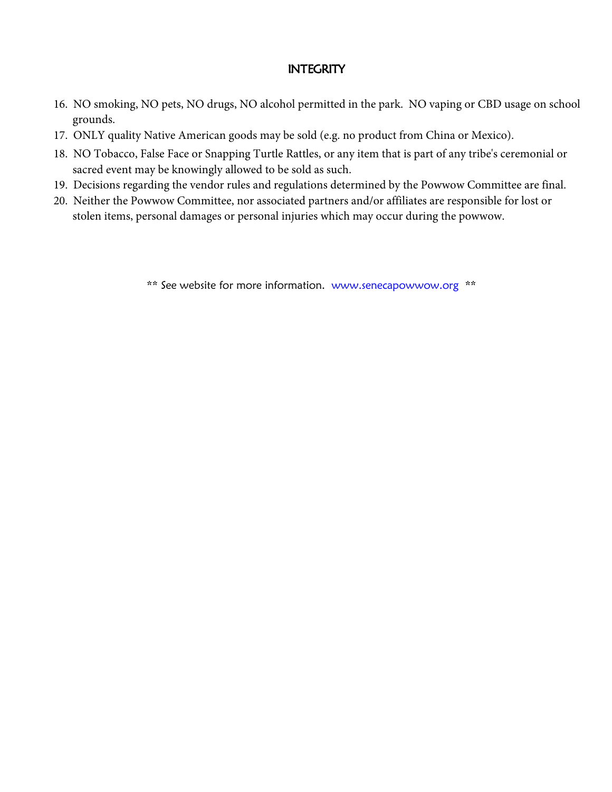#### **INTEGRITY**

- 16. NO smoking, NO pets, NO drugs, NO alcohol permitted in the park. NO vaping or CBD usage on school grounds.
- 17. ONLY quality Native American goods may be sold (e.g. no product from China or Mexico).
- 18. NO Tobacco, False Face or Snapping Turtle Rattles, or any item that is part of any tribe's ceremonial or sacred event may be knowingly allowed to be sold as such.
- 19. Decisions regarding the vendor rules and regulations determined by the Powwow Committee are final.
- 20. Neither the Powwow Committee, nor associated partners and/or affiliates are responsible for lost or stolen items, personal damages or personal injuries which may occur during the powwow.

\*\* See website for more information. www.senecapowwow.org \*\*